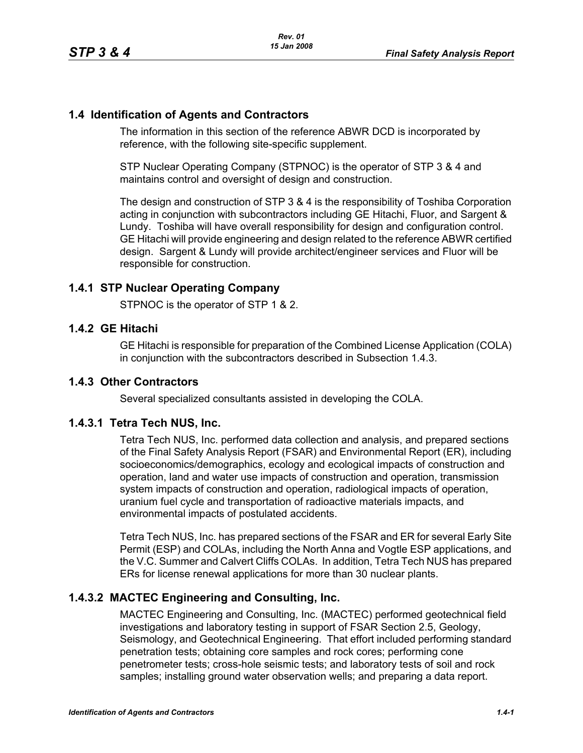## **1.4 Identification of Agents and Contractors**

The information in this section of the reference ABWR DCD is incorporated by reference, with the following site-specific supplement.

STP Nuclear Operating Company (STPNOC) is the operator of STP 3 & 4 and maintains control and oversight of design and construction.

The design and construction of STP 3 & 4 is the responsibility of Toshiba Corporation acting in conjunction with subcontractors including GE Hitachi, Fluor, and Sargent & Lundy. Toshiba will have overall responsibility for design and configuration control. GE Hitachi will provide engineering and design related to the reference ABWR certified design. Sargent & Lundy will provide architect/engineer services and Fluor will be responsible for construction.

# **1.4.1 STP Nuclear Operating Company**

STPNOC is the operator of STP 1 & 2.

### **1.4.2 GE Hitachi**

GE Hitachi is responsible for preparation of the Combined License Application (COLA) in conjunction with the subcontractors described in Subsection [1.4.3](#page-0-0).

### <span id="page-0-0"></span>**1.4.3 Other Contractors**

Several specialized consultants assisted in developing the COLA.

### **1.4.3.1 Tetra Tech NUS, Inc.**

Tetra Tech NUS, Inc. performed data collection and analysis, and prepared sections of the Final Safety Analysis Report (FSAR) and Environmental Report (ER), including socioeconomics/demographics, ecology and ecological impacts of construction and operation, land and water use impacts of construction and operation, transmission system impacts of construction and operation, radiological impacts of operation, uranium fuel cycle and transportation of radioactive materials impacts, and environmental impacts of postulated accidents.

Tetra Tech NUS, Inc. has prepared sections of the FSAR and ER for several Early Site Permit (ESP) and COLAs, including the North Anna and Vogtle ESP applications, and the V.C. Summer and Calvert Cliffs COLAs. In addition, Tetra Tech NUS has prepared ERs for license renewal applications for more than 30 nuclear plants.

# **1.4.3.2 MACTEC Engineering and Consulting, Inc.**

MACTEC Engineering and Consulting, Inc. (MACTEC) performed geotechnical field investigations and laboratory testing in support of FSAR Section 2.5, Geology, Seismology, and Geotechnical Engineering. That effort included performing standard penetration tests; obtaining core samples and rock cores; performing cone penetrometer tests; cross-hole seismic tests; and laboratory tests of soil and rock samples; installing ground water observation wells; and preparing a data report.